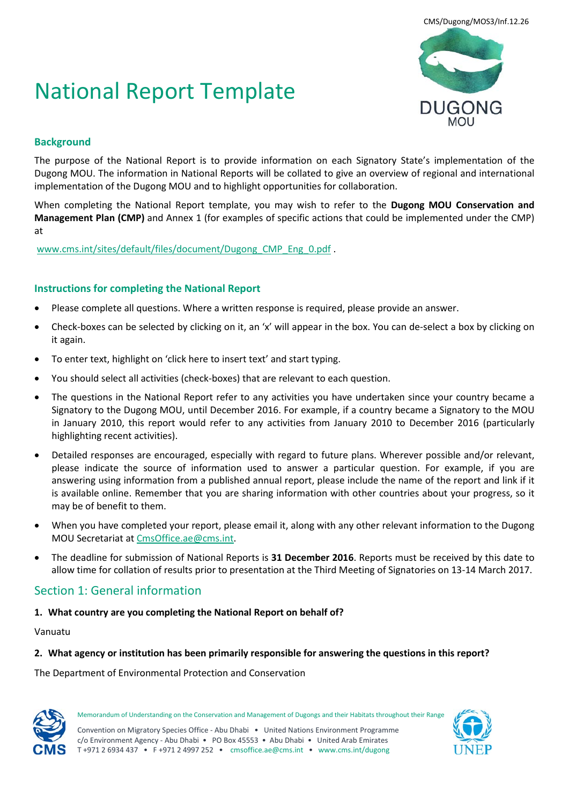# National Report Template



# **Background**

The purpose of the National Report is to provide information on each Signatory State's implementation of the Dugong MOU. The information in National Reports will be collated to give an overview of regional and international implementation of the Dugong MOU and to highlight opportunities for collaboration.

When completing the National Report template, you may wish to refer to the **Dugong MOU Conservation and Management Plan (CMP)** and Annex 1 (for examples of specific actions that could be implemented under the CMP) at

[www.cms.int/sites/default/files/document/Dugong\\_CMP\\_Eng\\_0.pdf](http://www.cms.int/sites/default/files/document/Dugong_CMP_Eng_0.pdf) .

# **Instructions for completing the National Report**

- Please complete all questions. Where a written response is required, please provide an answer.
- Check-boxes can be selected by clicking on it, an 'x' will appear in the box. You can de-select a box by clicking on it again.
- To enter text, highlight on 'click here to insert text' and start typing.
- You should select all activities (check-boxes) that are relevant to each question.
- The questions in the National Report refer to any activities you have undertaken since your country became a Signatory to the Dugong MOU, until December 2016. For example, if a country became a Signatory to the MOU in January 2010, this report would refer to any activities from January 2010 to December 2016 (particularly highlighting recent activities).
- Detailed responses are encouraged, especially with regard to future plans. Wherever possible and/or relevant, please indicate the source of information used to answer a particular question. For example, if you are answering using information from a published annual report, please include the name of the report and link if it is available online. Remember that you are sharing information with other countries about your progress, so it may be of benefit to them.
- When you have completed your report, please email it, along with any other relevant information to the Dugong MOU Secretariat at [CmsOffice.ae@cms.int.](mailto:CmsOffice.ae@cms.int)
- The deadline for submission of National Reports is **31 December 2016**. Reports must be received by this date to allow time for collation of results prior to presentation at the Third Meeting of Signatories on 13-14 March 2017.

# Section 1: General information

#### **1. What country are you completing the National Report on behalf of?**

#### Vanuatu

#### **2. What agency or institution has been primarily responsible for answering the questions in this report?**

The Department of Environmental Protection and Conservation



Memorandum of Understanding on the Conservation and Management of Dugongs and their Habitats throughout their Range

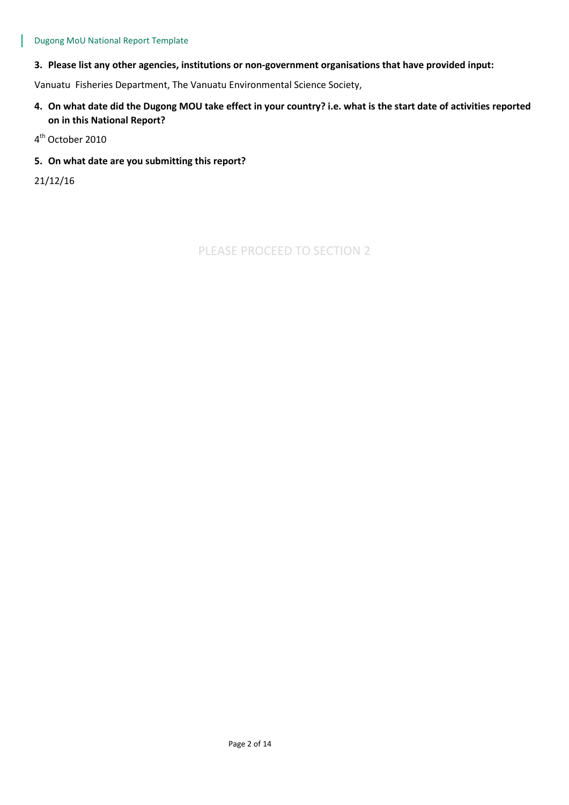#### **3. Please list any other agencies, institutions or non-government organisations that have provided input:**

Vanuatu Fisheries Department, The Vanuatu Environmental Science Society,

- **4. On what date did the Dugong MOU take effect in your country? i.e. what is the start date of activities reported on in this National Report?**
- 4<sup>th</sup> October 2010

#### **5. On what date are you submitting this report?**

21/12/16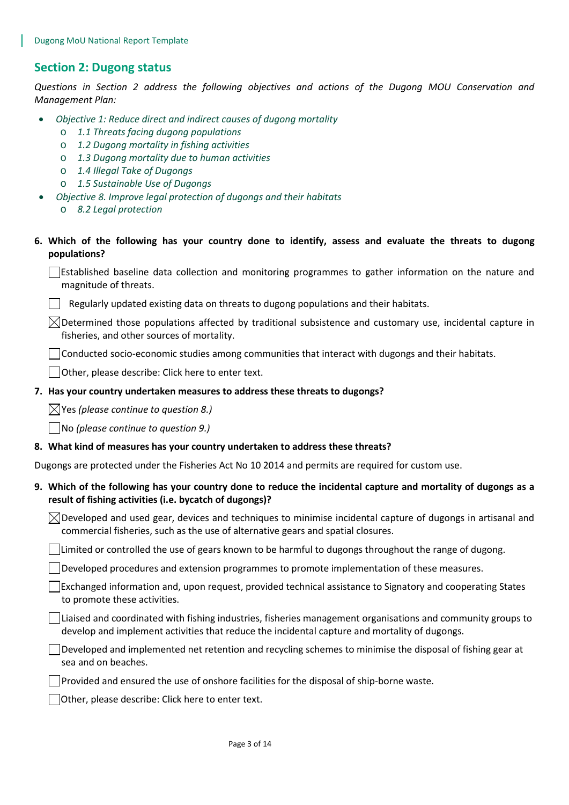# **Section 2: Dugong status**

*Questions in Section 2 address the following objectives and actions of the Dugong MOU Conservation and Management Plan:* 

- *Objective 1: Reduce direct and indirect causes of dugong mortality*
	- o *1.1 Threats facing dugong populations*
	- o *1.2 Dugong mortality in fishing activities*
	- o *1.3 Dugong mortality due to human activities*
	- o *1.4 Illegal Take of Dugongs*
	- o *1.5 Sustainable Use of Dugongs*
	- *Objective 8. Improve legal protection of dugongs and their habitats*
		- o *8.2 Legal protection*
- **6. Which of the following has your country done to identify, assess and evaluate the threats to dugong populations?**

Established baseline data collection and monitoring programmes to gather information on the nature and magnitude of threats.

Regularly updated existing data on threats to dugong populations and their habitats.

 $\boxtimes$ Determined those populations affected by traditional subsistence and customary use, incidental capture in fisheries, and other sources of mortality.

Conducted socio-economic studies among communities that interact with dugongs and their habitats.

Other, please describe: Click here to enter text.

#### **7. Has your country undertaken measures to address these threats to dugongs?**

Yes *(please continue to question 8.)*

No *(please continue to question 9.)*

#### **8. What kind of measures has your country undertaken to address these threats?**

Dugongs are protected under the Fisheries Act No 10 2014 and permits are required for custom use.

# **9. Which of the following has your country done to reduce the incidental capture and mortality of dugongs as a result of fishing activities (i.e. bycatch of dugongs)?**

 $\boxtimes$ Developed and used gear, devices and techniques to minimise incidental capture of dugongs in artisanal and commercial fisheries, such as the use of alternative gears and spatial closures.

Limited or controlled the use of gears known to be harmful to dugongs throughout the range of dugong.

Developed procedures and extension programmes to promote implementation of these measures.

Exchanged information and, upon request, provided technical assistance to Signatory and cooperating States to promote these activities.

 $\Box$ Liaised and coordinated with fishing industries, fisheries management organisations and community groups to develop and implement activities that reduce the incidental capture and mortality of dugongs.

 $\Box$  Developed and implemented net retention and recycling schemes to minimise the disposal of fishing gear at sea and on beaches.

**Provided and ensured the use of onshore facilities for the disposal of ship-borne waste.** 

Other, please describe: Click here to enter text.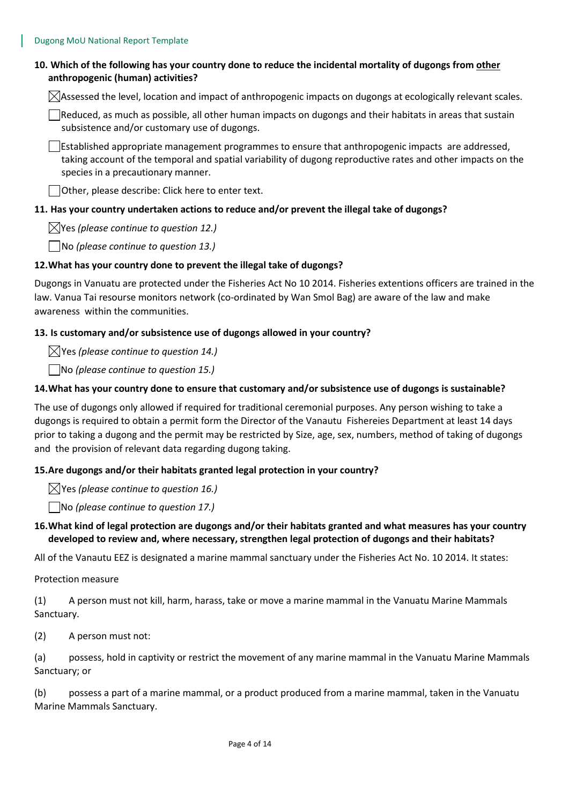# **10. Which of the following has your country done to reduce the incidental mortality of dugongs from other anthropogenic (human) activities?**

 $\boxtimes$  Assessed the level, location and impact of anthropogenic impacts on dugongs at ecologically relevant scales.

Reduced, as much as possible, all other human impacts on dugongs and their habitats in areas that sustain subsistence and/or customary use of dugongs.

 $\Box$ Established appropriate management programmes to ensure that anthropogenic impacts are addressed, taking account of the temporal and spatial variability of dugong reproductive rates and other impacts on the species in a precautionary manner.

Other, please describe: Click here to enter text.

# **11. Has your country undertaken actions to reduce and/or prevent the illegal take of dugongs?**

Yes *(please continue to question 12.)*

No *(please continue to question 13.)*

#### **12.What has your country done to prevent the illegal take of dugongs?**

Dugongs in Vanuatu are protected under the Fisheries Act No 10 2014. Fisheries extentions officers are trained in the law. Vanua Tai resourse monitors network (co-ordinated by Wan Smol Bag) are aware of the law and make awareness within the communities.

#### **13. Is customary and/or subsistence use of dugongs allowed in your country?**

Yes *(please continue to question 14.)*

No *(please continue to question 15.)*

# **14.What has your country done to ensure that customary and/or subsistence use of dugongs is sustainable?**

The use of dugongs only allowed if required for traditional ceremonial purposes. Any person wishing to take a dugongs is required to obtain a permit form the Director of the Vanautu Fishereies Department at least 14 days prior to taking a dugong and the permit may be restricted by Size, age, sex, numbers, method of taking of dugongs and the provision of relevant data regarding dugong taking.

#### **15.Are dugongs and/or their habitats granted legal protection in your country?**

Yes *(please continue to question 16.)*

No *(please continue to question 17.)*

#### **16.What kind of legal protection are dugongs and/or their habitats granted and what measures has your country developed to review and, where necessary, strengthen legal protection of dugongs and their habitats?**

All of the Vanautu EEZ is designated a marine mammal sanctuary under the Fisheries Act No. 10 2014. It states:

Protection measure

(1) A person must not kill, harm, harass, take or move a marine mammal in the Vanuatu Marine Mammals Sanctuary.

(2) A person must not:

(a) possess, hold in captivity or restrict the movement of any marine mammal in the Vanuatu Marine Mammals Sanctuary; or

(b) possess a part of a marine mammal, or a product produced from a marine mammal, taken in the Vanuatu Marine Mammals Sanctuary.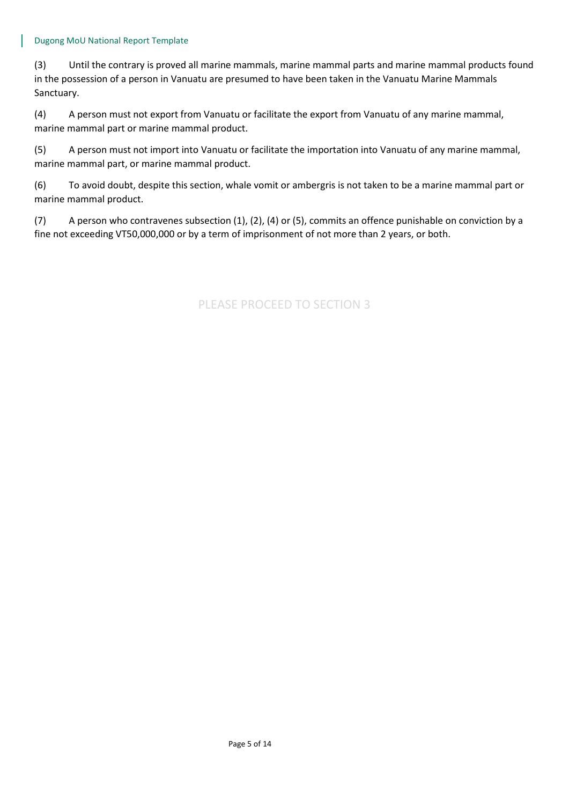#### Dugong MoU National Report Template

(3) Until the contrary is proved all marine mammals, marine mammal parts and marine mammal products found in the possession of a person in Vanuatu are presumed to have been taken in the Vanuatu Marine Mammals Sanctuary.

(4) A person must not export from Vanuatu or facilitate the export from Vanuatu of any marine mammal, marine mammal part or marine mammal product.

(5) A person must not import into Vanuatu or facilitate the importation into Vanuatu of any marine mammal, marine mammal part, or marine mammal product.

(6) To avoid doubt, despite this section, whale vomit or ambergris is not taken to be a marine mammal part or marine mammal product.

(7) A person who contravenes subsection (1), (2), (4) or (5), commits an offence punishable on conviction by a fine not exceeding VT50,000,000 or by a term of imprisonment of not more than 2 years, or both.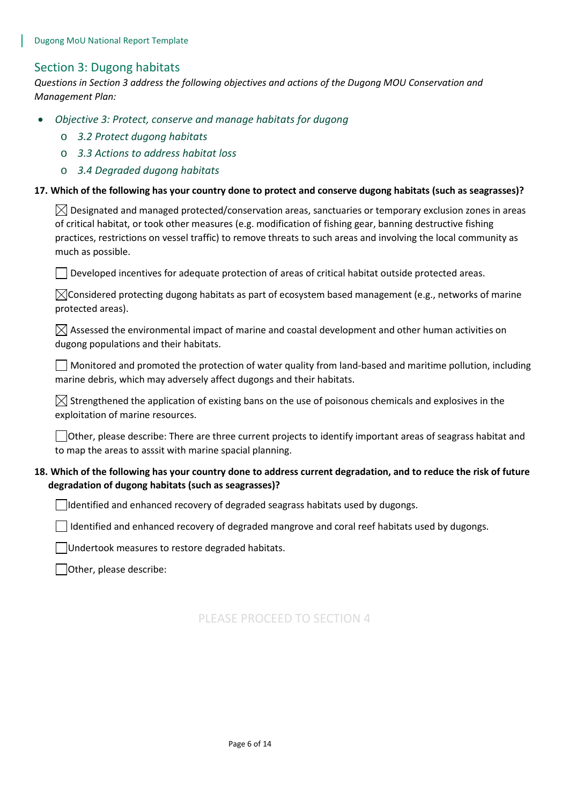# Section 3: Dugong habitats

*Questions in Section 3 address the following objectives and actions of the Dugong MOU Conservation and Management Plan:* 

- *Objective 3: Protect, conserve and manage habitats for dugong*
	- o *3.2 Protect dugong habitats*
	- o *3.3 Actions to address habitat loss*
	- o *3.4 Degraded dugong habitats*

#### **17. Which of the following has your country done to protect and conserve dugong habitats (such as seagrasses)?**

 $\boxtimes$  Designated and managed protected/conservation areas, sanctuaries or temporary exclusion zones in areas of critical habitat, or took other measures (e.g. modification of fishing gear, banning destructive fishing practices, restrictions on vessel traffic) to remove threats to such areas and involving the local community as much as possible.

 $\Box$  Developed incentives for adequate protection of areas of critical habitat outside protected areas.

 $\boxtimes$ Considered protecting dugong habitats as part of ecosystem based management (e.g., networks of marine protected areas).

 $\boxtimes$  Assessed the environmental impact of marine and coastal development and other human activities on dugong populations and their habitats.

 $\Box$  Monitored and promoted the protection of water quality from land-based and maritime pollution, including marine debris, which may adversely affect dugongs and their habitats.

 $\boxtimes$  Strengthened the application of existing bans on the use of poisonous chemicals and explosives in the exploitation of marine resources.

 $\Box$ Other, please describe: There are three current projects to identify important areas of seagrass habitat and to map the areas to asssit with marine spacial planning.

#### **18. Which of the following has your country done to address current degradation, and to reduce the risk of future degradation of dugong habitats (such as seagrasses)?**

 $\Box$ Identified and enhanced recovery of degraded seagrass habitats used by dugongs.

 $\Box$  Identified and enhanced recovery of degraded mangrove and coral reef habitats used by dugongs.

Undertook measures to restore degraded habitats.

Other, please describe: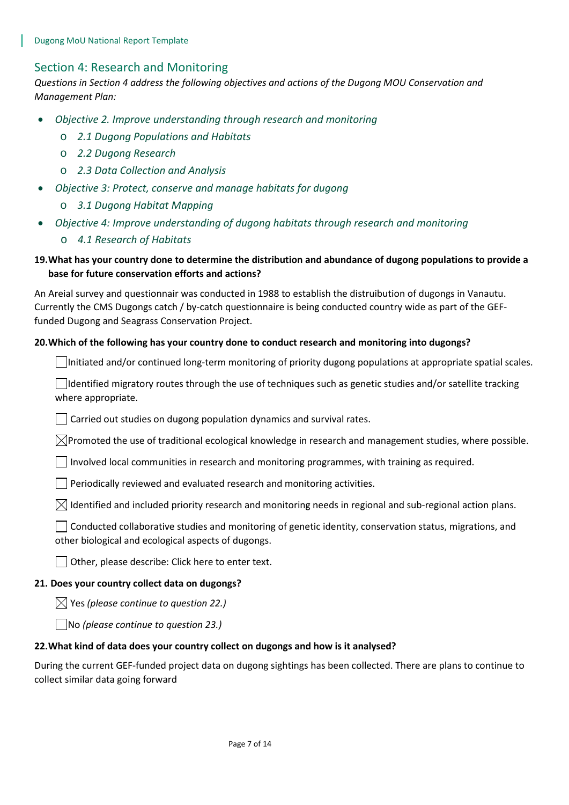# Section 4: Research and Monitoring

*Questions in Section 4 address the following objectives and actions of the Dugong MOU Conservation and Management Plan:* 

- *Objective 2. Improve understanding through research and monitoring* 
	- o *2.1 Dugong Populations and Habitats*
	- o *2.2 Dugong Research*
	- o *2.3 Data Collection and Analysis*
- *Objective 3: Protect, conserve and manage habitats for dugong*
	- o *3.1 Dugong Habitat Mapping*
- *Objective 4: Improve understanding of dugong habitats through research and monitoring*
	- o *4.1 Research of Habitats*

# **19.What has your country done to determine the distribution and abundance of dugong populations to provide a base for future conservation efforts and actions?**

An Areial survey and questionnair was conducted in 1988 to establish the distruibution of dugongs in Vanautu. Currently the CMS Dugongs catch / by-catch questionnaire is being conducted country wide as part of the GEFfunded Dugong and Seagrass Conservation Project.

#### **20.Which of the following has your country done to conduct research and monitoring into dugongs?**

 $\Box$ Initiated and/or continued long-term monitoring of priority dugong populations at appropriate spatial scales.

 $\Box$ Identified migratory routes through the use of techniques such as genetic studies and/or satellite tracking where appropriate.

 $\Box$  Carried out studies on dugong population dynamics and survival rates.

 $\boxtimes$ Promoted the use of traditional ecological knowledge in research and management studies, where possible.

Involved local communities in research and monitoring programmes, with training as required.

 $\Box$  Periodically reviewed and evaluated research and monitoring activities.

 $\boxtimes$  Identified and included priority research and monitoring needs in regional and sub-regional action plans.

 $\Box$  Conducted collaborative studies and monitoring of genetic identity, conservation status, migrations, and other biological and ecological aspects of dugongs.

Other, please describe: Click here to enter text.

#### **21. Does your country collect data on dugongs?**

 $\boxtimes$  Yes (please continue to question 22.)

No *(please continue to question 23.)*

#### **22.What kind of data does your country collect on dugongs and how is it analysed?**

During the current GEF-funded project data on dugong sightings has been collected. There are plans to continue to collect similar data going forward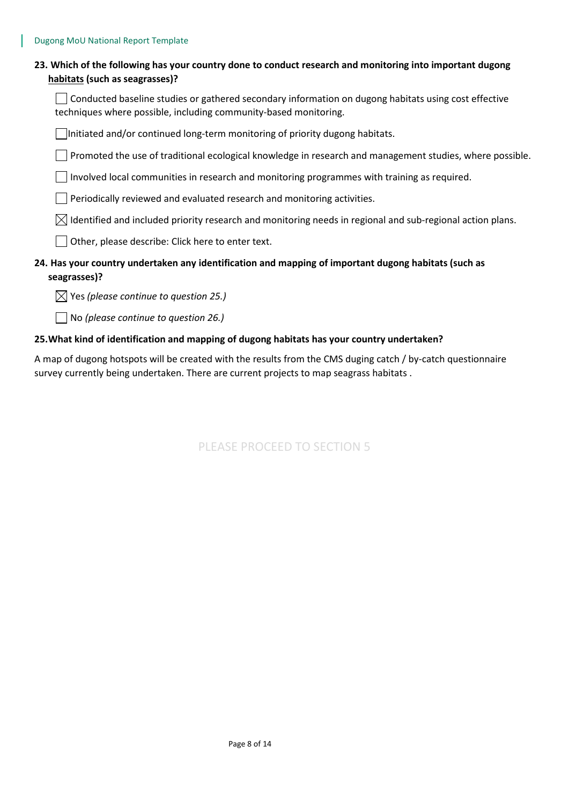| 23. Which of the following has your country done to conduct research and monitoring into important dugong |
|-----------------------------------------------------------------------------------------------------------|
| habitats (such as seagrasses)?                                                                            |

 $\Box$  Conducted baseline studies or gathered secondary information on dugong habitats using cost effective techniques where possible, including community-based monitoring.

Initiated and/or continued long-term monitoring of priority dugong habitats.

 $\Box$  Promoted the use of traditional ecological knowledge in research and management studies, where possible.

 $\Box$  Involved local communities in research and monitoring programmes with training as required.

Periodically reviewed and evaluated research and monitoring activities.

 $\boxtimes$  Identified and included priority research and monitoring needs in regional and sub-regional action plans.

Other, please describe: Click here to enter text.

# **24. Has your country undertaken any identification and mapping of important dugong habitats (such as seagrasses)?**

Yes *(please continue to question 25.)*

No *(please continue to question 26.)*

#### **25.What kind of identification and mapping of dugong habitats has your country undertaken?**

A map of dugong hotspots will be created with the results from the CMS duging catch / by-catch questionnaire survey currently being undertaken. There are current projects to map seagrass habitats .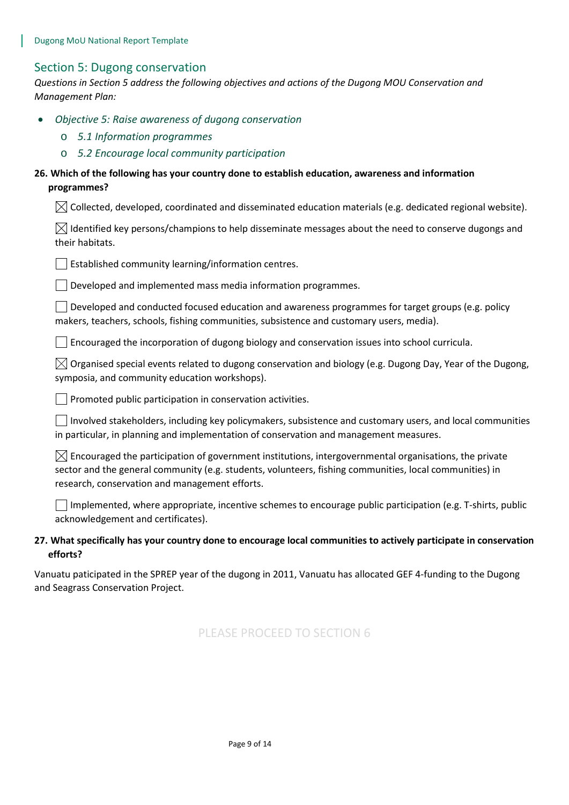# Section 5: Dugong conservation

*Questions in Section 5 address the following objectives and actions of the Dugong MOU Conservation and Management Plan:* 

- *Objective 5: Raise awareness of dugong conservation*
	- o *5.1 Information programmes*
	- o *5.2 Encourage local community participation*

# **26. Which of the following has your country done to establish education, awareness and information programmes?**

 $\boxtimes$  Collected, developed, coordinated and disseminated education materials (e.g. dedicated regional website).

| $\boxtimes$ Identified key persons/champions to help disseminate messages about the need to conserve dugongs and |  |  |  |
|------------------------------------------------------------------------------------------------------------------|--|--|--|
| their habitats.                                                                                                  |  |  |  |

 $\vert \ \vert$  Established community learning/information centres.

 $\Box$  Developed and implemented mass media information programmes.

Developed and conducted focused education and awareness programmes for target groups (e.g. policy makers, teachers, schools, fishing communities, subsistence and customary users, media).

 $\Box$  Encouraged the incorporation of dugong biology and conservation issues into school curricula.

 $\boxtimes$  Organised special events related to dugong conservation and biology (e.g. Dugong Day, Year of the Dugong, symposia, and community education workshops).

 $\Box$  Promoted public participation in conservation activities.

Involved stakeholders, including key policymakers, subsistence and customary users, and local communities in particular, in planning and implementation of conservation and management measures.

 $\boxtimes$  Encouraged the participation of government institutions, intergovernmental organisations, the private sector and the general community (e.g. students, volunteers, fishing communities, local communities) in research, conservation and management efforts.

 $\Box$  Implemented, where appropriate, incentive schemes to encourage public participation (e.g. T-shirts, public acknowledgement and certificates).

#### **27. What specifically has your country done to encourage local communities to actively participate in conservation efforts?**

Vanuatu paticipated in the SPREP year of the dugong in 2011, Vanuatu has allocated GEF 4-funding to the Dugong and Seagrass Conservation Project.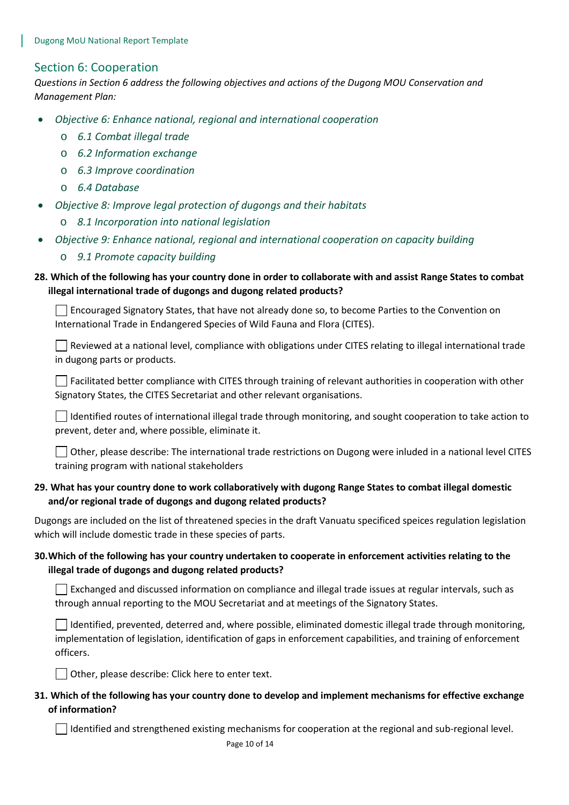# Section 6: Cooperation

*Questions in Section 6 address the following objectives and actions of the Dugong MOU Conservation and Management Plan:* 

- *Objective 6: Enhance national, regional and international cooperation*
	- o *6.1 Combat illegal trade*
	- o *6.2 Information exchange*
	- o *6.3 Improve coordination*
	- o *6.4 Database*
- *Objective 8: Improve legal protection of dugongs and their habitats*
	- o *8.1 Incorporation into national legislation*
- *Objective 9: Enhance national, regional and international cooperation on capacity building*
	- o *9.1 Promote capacity building*

# **28. Which of the following has your country done in order to collaborate with and assist Range States to combat illegal international trade of dugongs and dugong related products?**

Encouraged Signatory States, that have not already done so, to become Parties to the Convention on International Trade in Endangered Species of Wild Fauna and Flora (CITES).

 $\vert \ \vert$  Reviewed at a national level, compliance with obligations under CITES relating to illegal international trade in dugong parts or products.

 $\Box$  Facilitated better compliance with CITES through training of relevant authorities in cooperation with other Signatory States, the CITES Secretariat and other relevant organisations.

 $\vert \ \vert$  Identified routes of international illegal trade through monitoring, and sought cooperation to take action to prevent, deter and, where possible, eliminate it.

 $\Box$  Other, please describe: The international trade restrictions on Dugong were inluded in a national level CITES training program with national stakeholders

#### **29. What has your country done to work collaboratively with dugong Range States to combat illegal domestic and/or regional trade of dugongs and dugong related products?**

Dugongs are included on the list of threatened species in the draft Vanuatu specificed speices regulation legislation which will include domestic trade in these species of parts.

# **30.Which of the following has your country undertaken to cooperate in enforcement activities relating to the illegal trade of dugongs and dugong related products?**

 $\Box$  Exchanged and discussed information on compliance and illegal trade issues at regular intervals, such as through annual reporting to the MOU Secretariat and at meetings of the Signatory States.

 $\vert \ \vert$  Identified, prevented, deterred and, where possible, eliminated domestic illegal trade through monitoring, implementation of legislation, identification of gaps in enforcement capabilities, and training of enforcement officers.

Other, please describe: Click here to enter text.

# **31. Which of the following has your country done to develop and implement mechanisms for effective exchange of information?**

 $\Box$  Identified and strengthened existing mechanisms for cooperation at the regional and sub-regional level.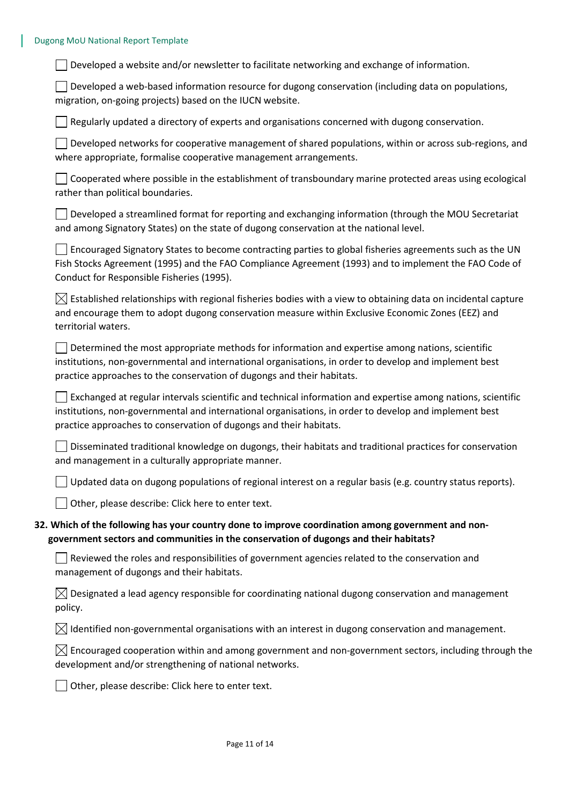#### Dugong MoU National Report Template

Developed a website and/or newsletter to facilitate networking and exchange of information.

 $\Box$  Developed a web-based information resource for dugong conservation (including data on populations, migration, on-going projects) based on the IUCN website.

 $\Box$  Regularly updated a directory of experts and organisations concerned with dugong conservation.

Developed networks for cooperative management of shared populations, within or across sub-regions, and where appropriate, formalise cooperative management arrangements.

| □ Cooperated where possible in the establishment of transboundary marine protected areas using ecological |  |
|-----------------------------------------------------------------------------------------------------------|--|
| rather than political boundaries.                                                                         |  |

 $\Box$  Developed a streamlined format for reporting and exchanging information (through the MOU Secretariat and among Signatory States) on the state of dugong conservation at the national level.

 $\Box$  Encouraged Signatory States to become contracting parties to global fisheries agreements such as the UN Fish Stocks Agreement (1995) and the FAO Compliance Agreement (1993) and to implement the FAO Code of Conduct for Responsible Fisheries (1995).

 $\boxtimes$  Established relationships with regional fisheries bodies with a view to obtaining data on incidental capture and encourage them to adopt dugong conservation measure within Exclusive Economic Zones (EEZ) and territorial waters.

 $\vert \ \vert$  Determined the most appropriate methods for information and expertise among nations, scientific institutions, non-governmental and international organisations, in order to develop and implement best practice approaches to the conservation of dugongs and their habitats.

 $\vert\,\,\,\vert$  Exchanged at regular intervals scientific and technical information and expertise among nations, scientific institutions, non-governmental and international organisations, in order to develop and implement best practice approaches to conservation of dugongs and their habitats.

Disseminated traditional knowledge on dugongs, their habitats and traditional practices for conservation and management in a culturally appropriate manner.

 $\Box$  Updated data on dugong populations of regional interest on a regular basis (e.g. country status reports).

Other, please describe: Click here to enter text.

#### **32. Which of the following has your country done to improve coordination among government and nongovernment sectors and communities in the conservation of dugongs and their habitats?**

 $\Box$  Reviewed the roles and responsibilities of government agencies related to the conservation and management of dugongs and their habitats.

 $\boxtimes$  Designated a lead agency responsible for coordinating national dugong conservation and management policy.

 $\boxtimes$  Identified non-governmental organisations with an interest in dugong conservation and management.

 $\boxtimes$  Encouraged cooperation within and among government and non-government sectors, including through the development and/or strengthening of national networks.

 $\Box$  Other, please describe: Click here to enter text.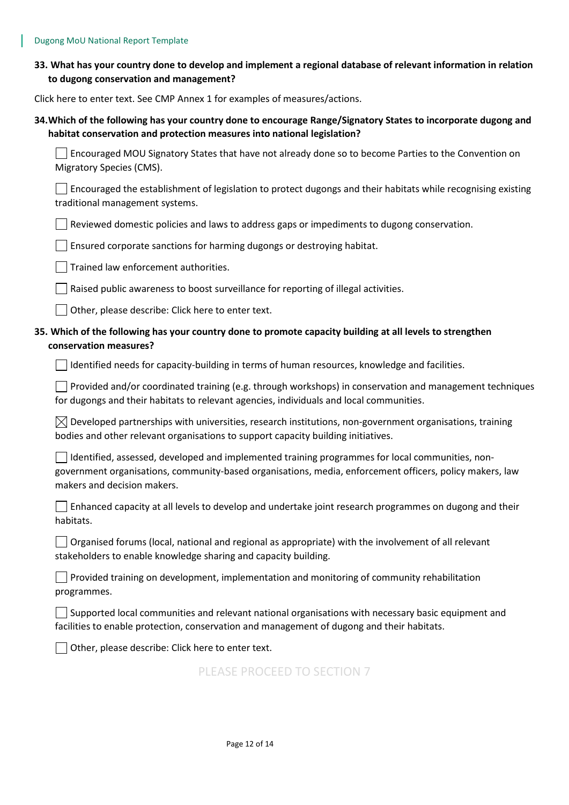| 33. What has your country done to develop and implement a regional database of relevant information in relation |
|-----------------------------------------------------------------------------------------------------------------|
| to dugong conservation and management?                                                                          |

Click here to enter text. See CMP Annex 1 for examples of measures/actions.

# **34.Which of the following has your country done to encourage Range/Signatory States to incorporate dugong and habitat conservation and protection measures into national legislation?**

Encouraged MOU Signatory States that have not already done so to become Parties to the Convention on Migratory Species (CMS).

 $\Box$  Encouraged the establishment of legislation to protect dugongs and their habitats while recognising existing traditional management systems.

 $\Box$  Reviewed domestic policies and laws to address gaps or impediments to dugong conservation.

 $\vert \ \vert$  Ensured corporate sanctions for harming dugongs or destroying habitat.

 $\Box$  Trained law enforcement authorities.

 $\Box$  Raised public awareness to boost surveillance for reporting of illegal activities.

 $\Box$  Other, please describe: Click here to enter text.

# **35. Which of the following has your country done to promote capacity building at all levels to strengthen conservation measures?**

 $\Box$  Identified needs for capacity-building in terms of human resources, knowledge and facilities.

**Provided and/or coordinated training (e.g. through workshops) in conservation and management techniques** for dugongs and their habitats to relevant agencies, individuals and local communities.

 $\boxtimes$  Developed partnerships with universities, research institutions, non-government organisations, training bodies and other relevant organisations to support capacity building initiatives.

Identified, assessed, developed and implemented training programmes for local communities, nongovernment organisations, community-based organisations, media, enforcement officers, policy makers, law makers and decision makers.

| $\Box$ Enhanced capacity at all levels to develop and undertake joint research programmes on dugong and their |  |
|---------------------------------------------------------------------------------------------------------------|--|
| habitats.                                                                                                     |  |

Organised forums (local, national and regional as appropriate) with the involvement of all relevant stakeholders to enable knowledge sharing and capacity building.

 $\Box$  Provided training on development, implementation and monitoring of community rehabilitation programmes.

Supported local communities and relevant national organisations with necessary basic equipment and facilities to enable protection, conservation and management of dugong and their habitats.

 $\vert \ \vert$  Other, please describe: Click here to enter text.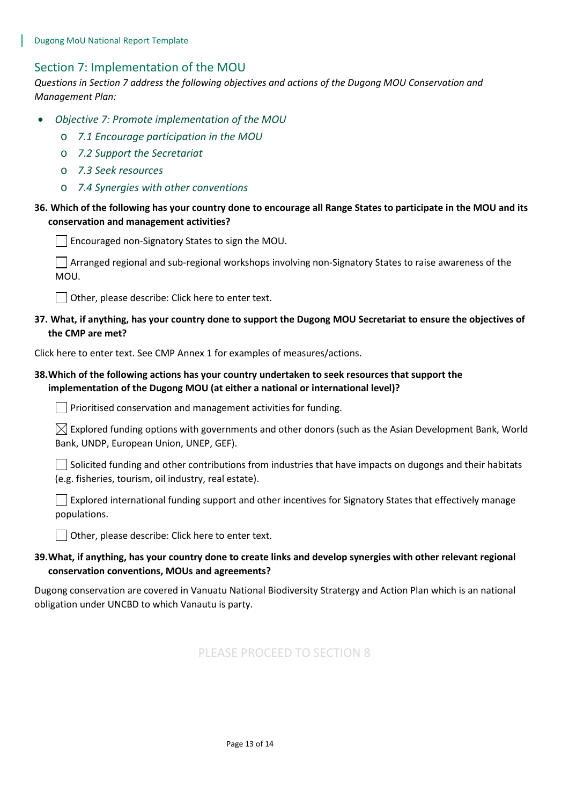# Section 7: Implementation of the MOU

*Questions in Section 7 address the following objectives and actions of the Dugong MOU Conservation and Management Plan:* 

- *Objective 7: Promote implementation of the MOU*
	- o *7.1 Encourage participation in the MOU*
	- o *7.2 Support the Secretariat*
	- o *7.3 Seek resources*
	- o *7.4 Synergies with other conventions*

#### **36. Which of the following has your country done to encourage all Range States to participate in the MOU and its conservation and management activities?**

 $\Box$  Encouraged non-Signatory States to sign the MOU.

 $\vert\,\,\vert$  Arranged regional and sub-regional workshops involving non-Signatory States to raise awareness of the MOU.

 $\Box$  Other, please describe: Click here to enter text.

**37. What, if anything, has your country done to support the Dugong MOU Secretariat to ensure the objectives of the CMP are met?** 

Click here to enter text. See CMP Annex 1 for examples of measures/actions.

#### **38.Which of the following actions has your country undertaken to seek resources that support the implementation of the Dugong MOU (at either a national or international level)?**

 $\Box$  Prioritised conservation and management activities for funding.

 $\boxtimes$  Explored funding options with governments and other donors (such as the Asian Development Bank, World Bank, UNDP, European Union, UNEP, GEF).

 $\Box$  Solicited funding and other contributions from industries that have impacts on dugongs and their habitats (e.g. fisheries, tourism, oil industry, real estate).

Explored international funding support and other incentives for Signatory States that effectively manage populations.

Other, please describe: Click here to enter text.

# **39.What, if anything, has your country done to create links and develop synergies with other relevant regional conservation conventions, MOUs and agreements?**

Dugong conservation are covered in Vanuatu National Biodiversity Stratergy and Action Plan which is an national obligation under UNCBD to which Vanautu is party.